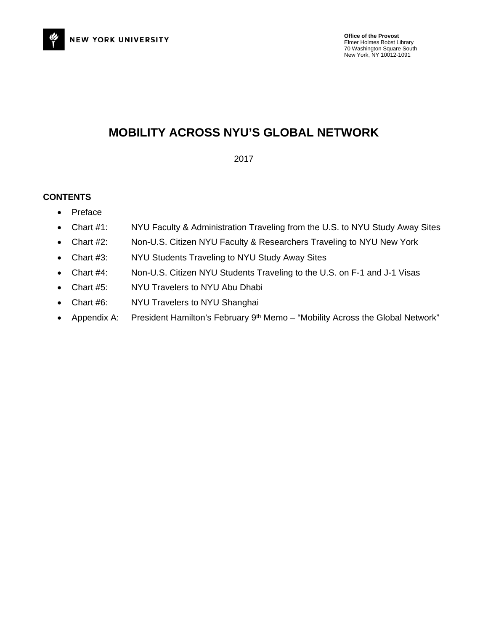

### **MOBILITY ACROSS NYU'S GLOBAL NETWORK**

2017

### **CONTENTS**

- Preface
- Chart #1: NYU Faculty & Administration Traveling from the U.S. to NYU Study Away Sites
- Chart #2: Non-U.S. Citizen NYU Faculty & Researchers Traveling to NYU New York
- Chart #3: NYU Students Traveling to NYU Study Away Sites
- Chart #4: Non-U.S. Citizen NYU Students Traveling to the U.S. on F-1 and J-1 Visas
- Chart #5: NYU Travelers to NYU Abu Dhabi
- Chart #6: NYU Travelers to NYU Shanghai
- Appendix A: President Hamilton's February 9<sup>th</sup> Memo "Mobility Across the Global Network"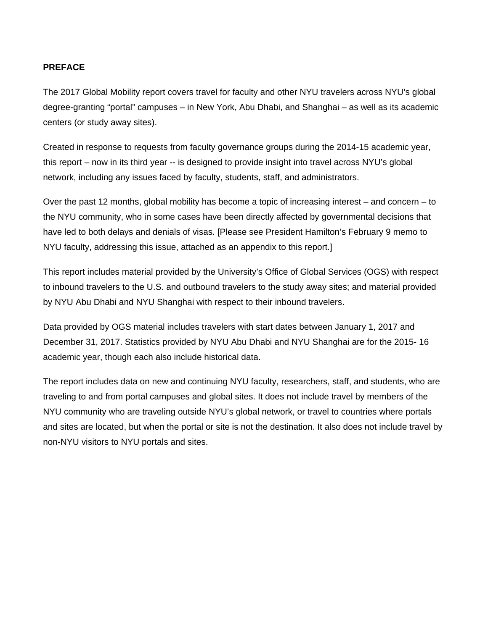### **PREFACE**

The 2017 Global Mobility report covers travel for faculty and other NYU travelers across NYU's global degree-granting "portal" campuses – in New York, Abu Dhabi, and Shanghai – as well as its academic centers (or study away sites).

Created in response to requests from faculty governance groups during the 2014-15 academic year, this report – now in its third year -- is designed to provide insight into travel across NYU's global network, including any issues faced by faculty, students, staff, and administrators.

Over the past 12 months, global mobility has become a topic of increasing interest – and concern – to the NYU community, who in some cases have been directly affected by governmental decisions that have led to both delays and denials of visas. [Please see President Hamilton's February 9 memo to NYU faculty, addressing this issue, attached as an appendix to this report.]

This report includes material provided by the University's Office of Global Services (OGS) with respect to inbound travelers to the U.S. and outbound travelers to the study away sites; and material provided by NYU Abu Dhabi and NYU Shanghai with respect to their inbound travelers.

Data provided by OGS material includes travelers with start dates between January 1, 2017 and December 31, 2017. Statistics provided by NYU Abu Dhabi and NYU Shanghai are for the 2015- 16 academic year, though each also include historical data.

The report includes data on new and continuing NYU faculty, researchers, staff, and students, who are traveling to and from portal campuses and global sites. It does not include travel by members of the NYU community who are traveling outside NYU's global network, or travel to countries where portals and sites are located, but when the portal or site is not the destination. It also does not include travel by non-NYU visitors to NYU portals and sites.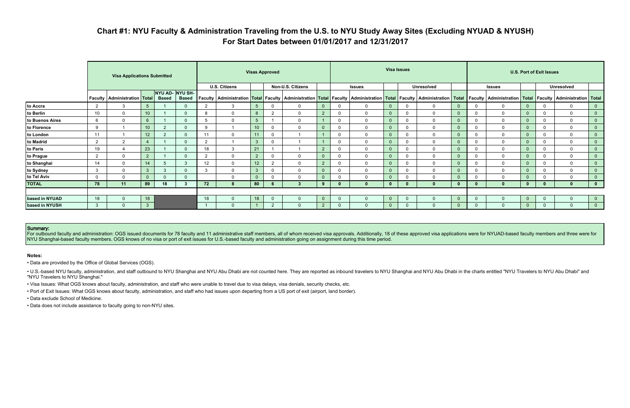# **Chart #1: NYU Faculty & Administration Traveling from the U.S. to NYU Study Away Sites (Excluding NYUAD & NYUSH) For Start Dates between 01/01/2017 and 12/31/2017**

|                 |                | <b>Visa Applications Submitted</b>      |                |              |                                 | <b>Visas Approved</b> |                      |                 |                |                                                                                                                                                                                                                                |                |          |               |                | <b>Visa Issues</b> |                   |              |              | <b>U.S. Port of Exit Issues</b> |  |              |                   |                |  |  |
|-----------------|----------------|-----------------------------------------|----------------|--------------|---------------------------------|-----------------------|----------------------|-----------------|----------------|--------------------------------------------------------------------------------------------------------------------------------------------------------------------------------------------------------------------------------|----------------|----------|---------------|----------------|--------------------|-------------------|--------------|--------------|---------------------------------|--|--------------|-------------------|----------------|--|--|
|                 |                |                                         |                |              |                                 |                       | <b>U.S. Citizens</b> |                 |                | Non-U.S. Citizens                                                                                                                                                                                                              |                |          | <b>Issues</b> |                |                    | <b>Unresolved</b> |              |              | <b>Issues</b>                   |  |              | <b>Unresolved</b> |                |  |  |
|                 |                | <b>Faculty   Administration   Total</b> |                | <b>Based</b> | NYU AD- NYU SH-<br><b>Based</b> |                       |                      |                 |                | Faculty   Administration   Total   Faculty   Administration   Total   Faculty   Administration   Total   Faculty   Administration   Total   Faculty   Administration   Total   Faculty   Administration   Total   Faculty   Ad |                |          |               |                |                    |                   |              |              |                                 |  |              |                   |                |  |  |
| to Accra        | 2              | 3                                       | 5 <sup>5</sup> |              | $\Omega$                        | 2                     | 3                    | $5^{\circ}$     | $\Omega$       | $\Omega$                                                                                                                                                                                                                       |                | $\Omega$ | $\mathbf 0$   | $\overline{0}$ | $\mathbf 0$        | $\mathbf{0}$      |              | 0            | $\mathbf{0}$                    |  |              | $\mathbf 0$       | 0              |  |  |
| to Berlin       | 10             | $\Omega$                                | 10             |              | $\Omega$                        | 8                     | $\mathbf{0}$         | 8               | $\overline{2}$ | $\Omega$                                                                                                                                                                                                                       | $\overline{2}$ | $\Omega$ | $\mathbf{0}$  | $\overline{0}$ | $\mathbf 0$        | $\mathbf{0}$      |              | $\mathbf{0}$ | $\Omega$                        |  |              | $\mathbf 0$       | $\overline{0}$ |  |  |
| to Buenos Aires | 6              | $\mathbf{0}$                            | $6\phantom{1}$ |              | $\Omega$                        | .ხ                    | $\mathbf 0$          | 5               |                | $\Omega$                                                                                                                                                                                                                       |                | $\Omega$ | 0             | $\overline{0}$ | $\mathbf 0$        | $\mathbf 0$       |              | $\mathbf 0$  | $\Omega$                        |  | 0            | $\mathbf 0$       | $\mathbf{0}$   |  |  |
| to Florence     | -9             |                                         | 10             | ົ            |                                 | $\mathbf{Q}$          |                      | 10 <sup>°</sup> | $\Omega$       |                                                                                                                                                                                                                                | $\overline{0}$ |          | $\mathbf{0}$  | $\overline{0}$ | $\mathbf 0$        | $\mathbf{0}$      |              | 0            | $\Omega$                        |  |              | $\mathbf 0$       | $\overline{0}$ |  |  |
| to London       | 11             |                                         | 12             |              | $\Omega$                        | 11                    | $\mathbf 0$          | 11              | $\Omega$       |                                                                                                                                                                                                                                |                |          | $\mathbf 0$   | $\overline{0}$ | $\mathbf{0}$       | $\mathbf{0}$      |              | $\mathbf{0}$ | $\Omega$                        |  |              | $\mathbf 0$       | $\overline{0}$ |  |  |
| to Madrid       | 2              | 2                                       | $\overline{4}$ |              | $\Omega$                        | 2                     |                      | $\mathbf{3}$    | $\Omega$       |                                                                                                                                                                                                                                |                | $\Omega$ | $\Omega$      | $\overline{0}$ | $\mathbf 0$        | $\mathbf{0}$      |              | $\mathbf{0}$ | $\mathbf{0}$                    |  | $\Omega$     | $\mathbf 0$       | $\overline{0}$ |  |  |
| to Paris        | 19             | $\boldsymbol{\Delta}$                   | 23             |              | $\Omega$                        | 18                    | $\mathbf{3}$         | 21              |                |                                                                                                                                                                                                                                | $\overline{2}$ | $\Omega$ | $\mathbf 0$   | $\overline{0}$ | 0                  | $\mathbf{0}$      |              | $\mathbf{0}$ | $\mathbf{0}$                    |  |              | $\mathbf 0$       | $\overline{0}$ |  |  |
| to Prague       | $\overline{2}$ | $\mathbf{0}$                            | 2              |              |                                 | 2                     | $\mathbf 0$          | 2               | $\Omega$       | $\Omega$                                                                                                                                                                                                                       |                |          | $\mathbf 0$   | $\overline{0}$ | 0                  | $\mathbf 0$       |              | 0            | $\Omega$                        |  |              | $\mathbf 0$       | $\overline{0}$ |  |  |
| to Shanghai     | 14             | $\Omega$                                | 14             |              | 3                               | 12                    | $\mathbf 0$          | 12 <sup>2</sup> | $\overline{2}$ | $\Omega$                                                                                                                                                                                                                       | $\overline{2}$ | $\Omega$ | $\mathbf 0$   | $\overline{0}$ | $\mathbf 0$        | $\mathbf 0$       |              | $\Omega$     | $\Omega$                        |  |              | $\mathbf 0$       | $\overline{0}$ |  |  |
| to Sydney       | $\mathbf{3}$   | $\mathbf 0$                             | $\mathbf{3}$   | 3            |                                 | 3                     | $\mathbf 0$          | $\mathbf{3}$    | $\mathbf 0$    | $\Omega$                                                                                                                                                                                                                       | $\mathbf 0$    |          | $\mathbf 0$   | $\overline{0}$ | $\mathbf 0$        | $\mathbf 0$       |              | 0            | $\Omega$                        |  | $\mathbf{0}$ | $\mathbf 0$       | $\overline{0}$ |  |  |
| to Tel Aviv     | $\mathbf 0$    | $\Omega$                                | $\mathbf{0}$   |              | $\Omega$                        |                       | $\mathbf 0$          | $\Omega$        | $\Omega$       | $\Omega$                                                                                                                                                                                                                       | $\mathbf{0}$   | $\Omega$ | $\mathbf 0$   | $\overline{0}$ | $\Omega$           | $\mathbf{0}$      |              | 0            |                                 |  |              | $\mathbf 0$       | $\overline{0}$ |  |  |
| <b>TOTAL</b>    | 78             | 11                                      | 89             | 18           |                                 | 72                    |                      | 80              | b              |                                                                                                                                                                                                                                | 9              |          | $\mathbf{0}$  | $\mathbf{0}$   | $\bf{0}$           | $\bf{0}$          |              | $\bf{0}$     |                                 |  |              | $\bf{0}$          | $\mathbf{0}$   |  |  |
|                 |                |                                         |                |              |                                 |                       |                      |                 |                |                                                                                                                                                                                                                                |                |          |               |                |                    |                   |              |              |                                 |  |              |                   |                |  |  |
| based in NYUAD  | 18             | $\Omega$                                | 18             |              |                                 | 18                    | $\Omega$             | 18              | $\Omega$       |                                                                                                                                                                                                                                | $\overline{0}$ | $\Omega$ | $\mathbf{0}$  | $\overline{0}$ | $\Omega$           | $\mathbf{0}$      | $\mathbf{0}$ | $\Omega$     |                                 |  |              | $\mathbf 0$       | $\overline{0}$ |  |  |
| based in NYUSH  | $\mathbf{3}$   | $\Omega$                                | 3 <sup>°</sup> |              |                                 |                       | $\Omega$             |                 | $\overline{2}$ |                                                                                                                                                                                                                                | $\overline{2}$ | $\Omega$ | $\Omega$      | $\overline{0}$ | $\Omega$           | $\Omega$          |              | $\Omega$     | $\Omega$                        |  |              | $\mathbf{0}$      | $\overline{0}$ |  |  |

For outbound faculty and administration: OGS issued documents for 78 faculty and 11 administrative staff members, all of whom received visa approvals. Additionally, 18 of these approved visa applications were for NYUAD-bas NYU Shanghai-based faculty members. OGS knows of no visa or port of exit issues for U.S.-based faculty and administration going on assignment during this time period.

. U.S.-based NYU faculty, administration, and staff outbound to NYU Shanghai and NYU Abu Dhabi are not counted here. They are reported as inbound travelers to NYU Shanghai and NYU Abu Dhabi in the charts entitled "NYU Trav "NYU Travelers to NYU Shanghai."

#### Summary:

#### **Notes:**

• Data are provided by the Office of Global Services (OGS).

• Visa Issues: What OGS knows about faculty, administration, and staff who were unable to travel due to visa delays, visa denials, security checks, etc.

• Port of Exit Issues: What OGS knows about faculty, administration, and staff who had issues upon departing from a US port of exit (airport, land border).

• Data exclude School of Medicine.

• Data does not include assistance to faculty going to non-NYU sites.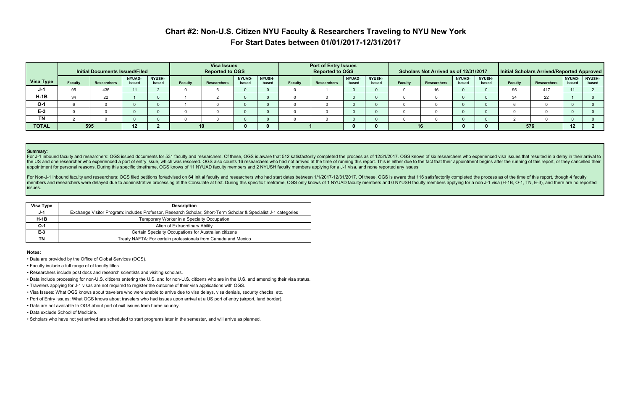# **Chart #2: Non-U.S. Citizen NYU Faculty & Researchers Traveling to NYU New York For Start Dates between 01/01/2017-12/31/2017**

|              |                | <b>Initial Documents Issued/Filed</b> |                        |                        |                | <b>Visa Issues</b><br><b>Reported to OGS</b> |                        | <b>Port of Entry Issues</b><br><b>Reported to OGS</b> |                |             |                        | Scholars Not Arrived as of 12/31/2017 |                |             | Initial Scholars Arrived/Reported Approved |                        |                |             |                 |                 |
|--------------|----------------|---------------------------------------|------------------------|------------------------|----------------|----------------------------------------------|------------------------|-------------------------------------------------------|----------------|-------------|------------------------|---------------------------------------|----------------|-------------|--------------------------------------------|------------------------|----------------|-------------|-----------------|-----------------|
| Visa Type    | <b>Faculty</b> | <b>Researchers</b>                    | <b>NYUAD-</b><br>based | <b>NYUSH-</b><br>based | <b>Faculty</b> | Researchers                                  | <b>NYUAD-</b><br>based | <b>NYUSH-</b><br>based                                | <b>Faculty</b> | Researchers | <b>NYUAD-</b><br>based | <b>NYUSH-</b><br>based                | <b>Faculty</b> | Researchers | <b>NYUAD-</b><br>based                     | <b>NYUSH-</b><br>based | <b>Faculty</b> | Researchers | NYUAD-<br>based | NYUSH-<br>based |
| J-1          | 95             | 436                                   | 11                     |                        |                |                                              |                        |                                                       |                |             |                        |                                       |                |             |                                            |                        |                | 417         |                 |                 |
| $H-1B$       | 34             | 22                                    |                        |                        |                |                                              |                        |                                                       |                |             |                        |                                       |                |             |                                            |                        |                | 22          |                 |                 |
| $O-1$        |                |                                       |                        |                        |                |                                              |                        |                                                       |                |             |                        |                                       |                |             |                                            |                        |                |             |                 |                 |
| $E-3$        |                |                                       |                        |                        |                |                                              |                        |                                                       |                |             |                        |                                       |                |             |                                            |                        |                |             |                 |                 |
| ΤN           |                |                                       |                        |                        |                |                                              |                        |                                                       |                |             |                        |                                       |                |             |                                            |                        |                |             |                 |                 |
| <b>TOTAL</b> | 595<br>12      |                                       |                        |                        | 10             |                                              |                        |                                                       |                |             |                        |                                       |                |             |                                            |                        | 576            | 12          |                 |                 |

#### Summary:

For J-1 inbound faculty and researchers: OGS issued documents for 531 faculty and researchers. Of these, OGS is aware that 512 satisfactorily completed the process as of 12/31/2017. OGS knows of six researchers who experie the US and one researcher who experienced a port of entry issue, which was resolved. OGS also counts 16 researchers who had not arrived at the time of running this report. This is either due to the fact that their appointm appointment for personal reasons. During this specific timeframe, OGS knows of 11 NYUAD faculty members and 2 NYUSH faculty members applying for a J-1 visa, and none reported any issues.

For Non-J-1 inbound faculty and researchers: OGS filed petitions for/advised on 64 initial faculty and researchers who had start dates between 1/1/2017-12/31/2017. Of these, OGS is aware that 116 satisfactorily completed t members and researchers were delayed due to administrative processing at the Consulate at first. During this specific timeframe, OGS only knows of 1 NYUAD faculty members and 0 NYUSH faculty members applying for a non J-1 issues.

| Visa Type | <b>Description</b>                                                                                             |
|-----------|----------------------------------------------------------------------------------------------------------------|
| J-1       | Exchange Visitor Program: includes Professor, Research Scholar, Short-Term Scholar & Specialist J-1 categories |
| $H-1B$    | Temporary Worker in a Specialty Occupation                                                                     |
| $O-1$     | Alien of Extraordinary Ability                                                                                 |
| $E-3$     | Certain Specialty Occupations for Australian citizens                                                          |
| ΤN        | Treaty NAFTA: For certain professionals from Canada and Mexico                                                 |

#### **Notes:**

- Data are provided by the Office of Global Services (OGS).
- Faculty include a full range of of faculty titles.
- Researchers include post docs and research scientists and visiting scholars.
- Data include processing for non-U.S. citizens entering the U.S. and for non-U.S. citizens who are in the U.S. and amending their visa status.
- Travelers applying for J-1 visas are not required to register the outcome of their visa applications with OGS.
- Visa Issues: What OGS knows about travelers who were unable to arrive due to visa delays, visa denials, security checks, etc.
- Port of Entry Issues: What OGS knows about travelers who had issues upon arrival at a US port of entry (airport, land border).
- Data are not available to OGS about port of exit issues from home country.
- Data exclude School of Medicine.
- Scholars who have not yet arrived are scheduled to start programs later in the semester, and will arrive as planned.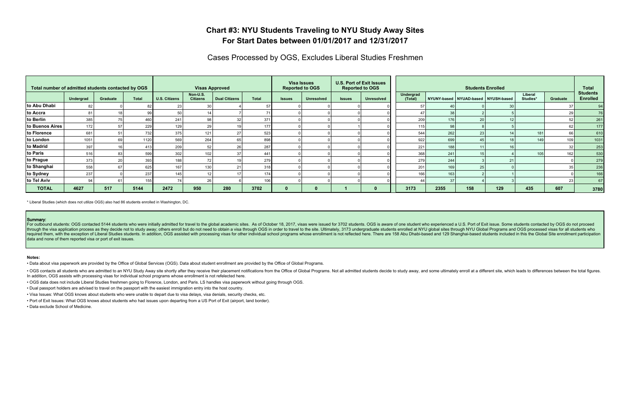### **Chart #3: NYU Students Traveling to NYU Study Away Sites For Start Dates between 01/01/2017 and 12/31/2017**

Cases Processed by OGS, Excludes Liberal Studies Freshmen

| Total number of admitted students contacted by OGS |           |          |              |                      |                             | <b>Visas Approved</b> |              |               | <b>Visa Issues</b><br><b>Reported to OGS</b> | <b>U.S. Port of Exit Issues</b><br><b>Reported to OGS</b> |                   |                      |         |     | <b>Students Enrolled</b>            |                     |          | <b>Total</b>                       |
|----------------------------------------------------|-----------|----------|--------------|----------------------|-----------------------------|-----------------------|--------------|---------------|----------------------------------------------|-----------------------------------------------------------|-------------------|----------------------|---------|-----|-------------------------------------|---------------------|----------|------------------------------------|
|                                                    | Undergrad | Graduate | <b>Total</b> | <b>U.S. Citizens</b> | Non-U.S.<br><b>Citizens</b> | <b>Dual Citizens</b>  | <b>Total</b> | <b>Issues</b> | <b>Unresolved</b>                            | <b>Issues</b>                                             | <b>Unresolved</b> | Undergrad<br>(Total) |         |     | NYUNY-based NYUAD-based NYUSH-based | Liberal<br>Studies* | Graduate | <b>Students</b><br><b>Enrolled</b> |
| to Abu Dhabi                                       |           |          |              |                      |                             |                       |              |               |                                              |                                                           |                   |                      |         |     |                                     |                     |          | 94                                 |
| to Accra                                           |           |          |              |                      |                             |                       |              |               |                                              |                                                           |                   |                      | 38      |     |                                     |                     | 29       | 76                                 |
| to Berlin                                          | 385       | フに       | 460          | 241                  | 98                          |                       | 371          |               |                                              |                                                           |                   | 209                  | 176     |     |                                     |                     | 52       | 261                                |
| to Buenos Aires                                    | 172       | 57       | 229          | 129 <sub>1</sub>     |                             |                       | 177          |               |                                              |                                                           |                   | 115                  | 98      |     |                                     |                     | 62       | 177                                |
| to Florence                                        | 681       | 51       | 732          | 375                  | 121                         |                       | 523          |               |                                              |                                                           |                   | 544                  | 262     | 23  |                                     | 181                 | 66       | 610                                |
| to London                                          | 1051      | 69       | 1120         | 569                  | 264                         |                       | 898          |               |                                              |                                                           |                   | 922                  | 699     |     |                                     | 149                 | 109      | $1031$                             |
| to Madrid                                          | 397       |          | 413          | 209                  |                             |                       | 287          |               |                                              |                                                           |                   | 221                  | 188     |     |                                     |                     | 32       | 253                                |
| to Paris                                           | 516       | 83       | 599          | 302                  | 102                         |                       | 441          |               |                                              |                                                           |                   | 368                  | 241     |     |                                     | 105                 | 162      | 530                                |
| to Prague                                          | 373       | 20       | 393          | 188 l                |                             |                       | 279          |               |                                              |                                                           |                   | 279                  | 244     |     |                                     |                     |          | 279                                |
| to Shanghai                                        | 558       | 67       | 625          | 167                  | 130                         |                       | 318          |               |                                              |                                                           |                   | 201                  | 169     | 25  |                                     |                     | 35       | 236                                |
| to Sydney                                          | 237       |          | 237          | 145                  |                             |                       | 174          |               |                                              |                                                           |                   | 166                  | $163_1$ |     |                                     |                     |          | 166                                |
| to Tel Aviv                                        |           |          |              |                      | 26                          |                       | 106          |               |                                              |                                                           |                   |                      | 37      |     |                                     |                     | 23       | 67                                 |
| <b>TOTAL</b>                                       | 4627      | 517      | 5144         | 2472                 | 950                         | 280                   | 3702         |               |                                              |                                                           |                   | 3173                 | 2355    | 158 | 129                                 | 435                 | 607      | 3780                               |

For outbound students: OGS contacted 5144 students who were initially admitted for travel to the global academic sites. As of October 18, 2017, visas were issued for 3702 students. OGS is aware of one student who experienc through the visa application process as they decide not to study away; others enroll but do not need to obtain a visa through OGS in order to travel to the site. Ultimately, 3173 undergraduate students enrolled at NYU glob required them, with the exception of Liberal Studies students. In addition, OGS assisted with processing visas for other individual school programs whose enrollment is not reflected here. There are 158 Abu Dhabi-based and data and none of them reported visa or port of exit issues.

\* Liberal Studies (which does not utilize OGS) also had 86 students enrolled in Washington, DC.

#### Summary:

. OGS contacts all students who are admitted to an NYU Study Away site shortly after they receive their placement notifications from the Office of Global Programs. Not all admitted students decide to study away, and some u In addition, OGS assists with processing visas for individual school programs whose enrollment is not refelected here.

#### **Notes:**

• Data about visa paperwork are provided by the Office of Global Services (OGS). Data about student enrollment are provided by the Office of Global Programs.

• OGS data does not include Liberal Studies freshmen going to Florence, London, and Paris. LS handles visa paperwork without going through OGS.

• Dual passport holders are advised to travel on the passport with the easiest immigration entry into the host country.

• Visa Issues: What OGS knows about students who were unable to depart due to visa delays, visa denials, security checks, etc.

• Port of Exit Issues: What OGS knows about students who had issues upon departing from a US Port of Exit (airport, land border).

• Data exclude School of Medicine.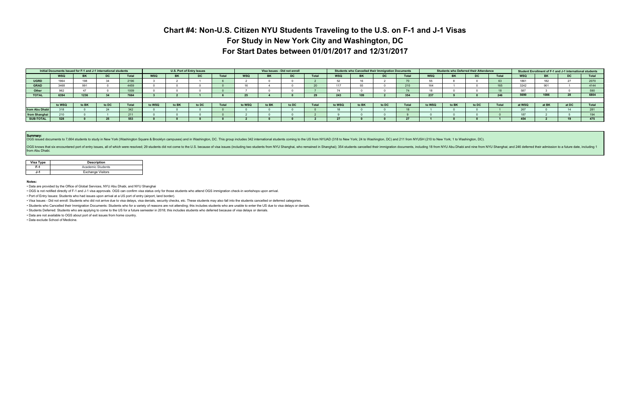## **Chart #4: Non-U.S. Citizen NYU Students Traveling to the U.S. on F-1 and J-1 Visas For Study in New York City and Washington, DC For Start Dates between 01/01/2017 and 12/31/2017**

|                |            |       | Initial Documents Issued for F-1 and J-1 international students |       |            | U.S. Port of Entry Issues |       |              |        | Visa Issues - Did not enroll |       |       |            |           | Students who Cancelled their Immigration Documents |       |        |           | <b>Students who Deferred their Attendance</b> |       |            | Student Enrollment of F-1 and J-1 international students |       |       |
|----------------|------------|-------|-----------------------------------------------------------------|-------|------------|---------------------------|-------|--------------|--------|------------------------------|-------|-------|------------|-----------|----------------------------------------------------|-------|--------|-----------|-----------------------------------------------|-------|------------|----------------------------------------------------------|-------|-------|
|                | <b>WSQ</b> |       | טע                                                              | Total | <b>WSQ</b> | <b>BK</b>                 | DC    | <b>Total</b> | WSQ    | ВK                           | DC.   | Total | <b>WSQ</b> | <b>BK</b> | DC.                                                | Total | WSQ    | <b>BK</b> | DC.                                           | Total | <b>WSQ</b> | <b>BK</b>                                                | DC .  | Total |
| <b>UGRD</b>    | 1964       |       |                                                                 | 2196  |            |                           |       |              |        |                              |       |       | 52         | 16        |                                                    |       | 55     |           |                                               | 63    | 1861       | 182                                                      | 27    | 2070  |
| <b>GRAD</b>    | 3468       | 991   |                                                                 | 4459  |            |                           |       |              |        |                              |       | 20    | 117        | 93        |                                                    | 210   | 164    |           |                                               | 165   | 3242       | 901                                                      |       | 4144  |
| Other          |            |       |                                                                 | 1009  |            |                           |       |              |        |                              |       |       | (4)        |           |                                                    |       |        |           |                                               |       | 587        |                                                          |       |       |
| <b>TOTAL</b>   | 6394       | 1236  |                                                                 | 7664  |            |                           |       |              |        |                              |       |       | 243        | 109       |                                                    | 354   | 237    |           |                                               | 246   | 5690       | 1086                                                     | 28    | 6804  |
|                |            |       |                                                                 |       |            |                           |       |              |        |                              |       |       |            |           |                                                    |       |        |           |                                               |       |            |                                                          |       |       |
|                | to WSQ     | to BK | to DC                                                           | Total | to WSQ     | to BK                     | to DC | Total        | to WSQ | to BK                        | to DC | Total | to WSQ     | to BK     | to DC                                              | Total | to WSQ | to BK     | to DC                                         | Total | at WSQ     | at BK                                                    | at DC | Total |
| from Abu Dhabi |            |       |                                                                 | 342   |            |                           |       |              |        |                              |       |       | 18         |           |                                                    |       |        |           |                                               |       | 267        |                                                          | 14    |       |
| from Shanghai  |            |       |                                                                 | 211   |            |                           |       |              |        |                              |       |       |            |           |                                                    |       |        |           |                                               |       | 187        |                                                          |       |       |
| SUB-TOTAL      | 528        |       | 25                                                              | 553   |            |                           |       |              |        |                              |       |       |            |           |                                                    |       |        |           |                                               |       | 454        |                                                          | 19    | 475   |

Summary:<br>OGS issued documents to 7,664 students to study in New York (Washington Square & Brooklyn campuses) and in Washington, DC. This group includes 342 international students coming to the US from NYUAD (318 to New Yor

OGS knows that six encountered port of entry issues, all of which were resolved; 29 students did not come to the U.S. because of visa issues (including two students from NYU Shanghai); 354 students cancelled their immigrat from Abu Dhabi.

| Visa Type | <b>Description</b>       |
|-----------|--------------------------|
| F.1       | Academic Students        |
| J-1       | <b>Exchange Visitors</b> |

**Notes:** 

• Data are provided by the Office of Global Services, NYU Abu Dhabi, and NYU Shanghai

• OGS is not notified directly of F-1 and J-1 visa approvals. OGS can confirm visa status only for those students who attend OGS immigration check-in workshops upon arrival.

• Port of Entry Issues: Students who had issues upon arrival at a US port of entry (airport, land border).

• Visa Issues - Did not enroll: Students who did not arrive due to visa delays, visa denials, security checks, etc. These students may also fall into the students cancelled or deferred categories.

• Students who Cancelled their Immigration Documents: Students who for a variety of reasons are not attending; this includes students who are unable to enter the US due to visa delays or denials.

• Students Deferred: Students who are applying to come to the US for a future semester in 2018; this includes students who deferred because of visa delays or denials.

• Data are not available to OGS about port of exit issues from home country.

• Data exclude School of Medicine.

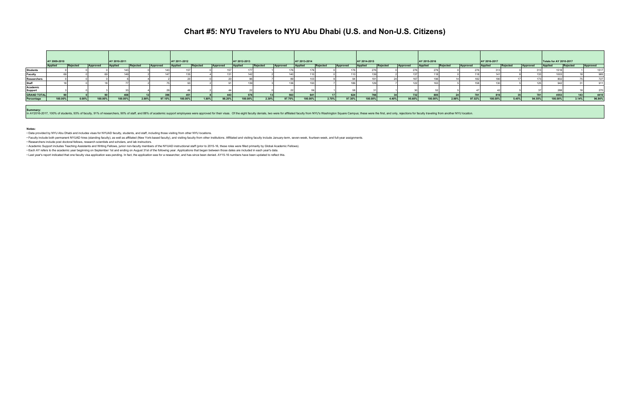## **Chart #5: NYU Travelers to NYU Abu Dhabi (U.S. and Non-U.S. Citizens)**

|                     | AY 2009-2010   |          |          | AY 2010-2011 |          |          | AY 2011-2012 |          |          | AY 2012-2013 |          |          | AY 2013-2014 |          |           | AY 2014-2015 |          |           | AY 2015-2016   |          |          | AY 2016-2017   |          |          | Totals for AY 2010-2017 |          |          |
|---------------------|----------------|----------|----------|--------------|----------|----------|--------------|----------|----------|--------------|----------|----------|--------------|----------|-----------|--------------|----------|-----------|----------------|----------|----------|----------------|----------|----------|-------------------------|----------|----------|
|                     | <b>Applied</b> | Rejected | Approved | Applie       | Rejected | Approved | Applied      | Rejected | Approved | Applied      | Rejected | Approved | Applied      | Rejected | Approved  | Applied      | Rejected | Approved  | <b>Applied</b> | Rejected | Approved | <b>Applied</b> | Rejected | Approved | Applied                 | Rejected | Approved |
| <b>Students</b>     |                |          |          |              |          |          |              |          |          |              |          |          |              |          |           |              |          |           |                |          |          |                |          |          |                         |          | 1517     |
| Faculty             |                |          |          |              |          |          |              |          |          |              |          |          |              |          |           |              |          |           |                |          |          |                |          |          |                         |          |          |
| <b>Researchers</b>  |                |          |          |              |          |          |              |          |          |              |          |          |              |          |           |              |          |           |                |          |          |                |          |          |                         |          |          |
| <b>Staff</b>        |                |          |          |              |          |          |              |          |          |              |          |          |              |          |           |              |          |           |                |          |          |                |          |          |                         |          |          |
| Academic<br>Support |                |          |          |              |          |          |              |          |          |              |          |          |              |          |           |              |          |           |                |          |          |                |          |          |                         |          |          |
| <b>GRAND TOTAL</b>  |                |          |          |              |          | ುಶರಿ     | 451          |          | 4431     | 576          |          |          |              |          | 624       |              |          | 732       | 805            |          |          |                |          |          | 4553                    | 143      | 4410     |
| Percentage          | 100.00%        | $0.00\%$ | 100.00%  | 100.00%      | $2.90\%$ | 97.10%   | $100.00\%$   | $1.80\%$ | 98.20%   | 100.00%      | $2.30\%$ | 97.70%   | 100.00%      | 2.70%    | $97.30\%$ | $100.00\%$   | 4.40%    | $95.60\%$ | 100.00%        | 2.98%    | 97.02%   | 100.00%        | 5.45%    | 94.55%   | $100.00\%$              | 3.14%    | 96.86%   |

Summary:<br>In AY2016-2017, 100% of students, 93% of faculty, 91% of researchers, 90% of staff, and 88% of academic support employees were approved for their visas. Of the eight faculty denials, two were for affiliated facult

· Faculty include both permanent NYUAD hires (standing faculty), as well as affiliated (New York-based faculty), and visiting faculty from other institutions. Affiliated and visiting faculty include January-term, seven-wee • Researchers include post doctoral fellows, research scientists and scholars, and lab instructors.

**Notes:**

• Data provided by NYU Abu Dhabi and includes visas for NYUAD faculty, students, and staff, including those visiting from other NYU locations.

• Academic Support includes Teaching Assistants and Writing Fellows, junior non-faculty members of the NYUAD instructional staff (prior to 2015-16, these roles were filled primarily by Global Academic Fellows).

• Each AY refers to the academic year beginning on September 1st and ending on August 31st of the following year. Applications that began between those dates are included in each year's data.

• Last year's report indicated that one faculty visa application was pending. In fact, the application was for a researcher, and has since been denied. AY15-16 numbers have been updated to reflect this.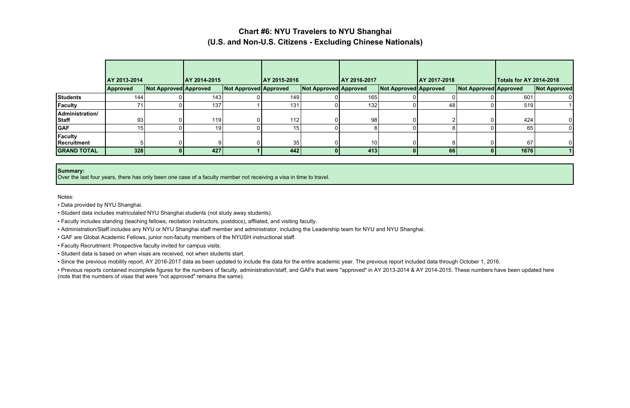## **Chart #6: NYU Travelers to NYU Shanghai (U.S. and Non-U.S. Citizens - Excluding Chinese Nationals)**

|                                 | AY 2013-2014    |                       | AY 2014-2015 |                       | AY 2015-2016 |                              | AY 2016-2017     |                              | AY 2017-2018 |                       | <b>Totals for AY 2014-2018</b> |                     |
|---------------------------------|-----------------|-----------------------|--------------|-----------------------|--------------|------------------------------|------------------|------------------------------|--------------|-----------------------|--------------------------------|---------------------|
|                                 | Approved        | Not Approved Approved |              | Not Approved Approved |              | <b>Not Approved Approved</b> |                  | <b>Not Approved Approved</b> |              | Not Approved Approved |                                | <b>Not Approved</b> |
| <b>Students</b>                 | 144             |                       | 143          |                       | 149          |                              | 165              |                              |              |                       | 601                            |                     |
| <b>Faculty</b>                  |                 |                       | 137          |                       | 131          |                              | 132 <sub>1</sub> |                              | 48           |                       | 519                            |                     |
| Administration/<br><b>Staff</b> | 93 <sub>1</sub> |                       | 119          |                       | 112          | 0                            | 98               | ΩI                           |              |                       | 424                            |                     |
| <b>GAF</b>                      | 15 <sup>1</sup> |                       | 19           |                       | 15           |                              | 8                |                              |              |                       | 65                             |                     |
| <b>Faculty</b><br>Recruitment   |                 |                       |              |                       | 35           |                              | 10               | ΩI                           |              |                       | 67                             |                     |
| <b>GRAND TOTAL</b>              | 328             | 01                    | 427          |                       | 442          |                              | 413              | $\mathbf{0}$                 | 66           |                       | 1676                           |                     |

#### **Summary:**

Over the last four years, there has only been one case of a faculty member not receiving a visa in time to travel.

Notes:

• Previous reports contained incomplete figures for the numbers of faculty, administration/staff, and GAFs that were "approved" in AY 2013-2014 & AY 2014-2015. These numbers have been updated here (note that the numbers of visas that were "not approved" remains the same).

- Data provided by NYU Shanghai.
- Student data includes matriculated NYU Shanghai students (not study away students).
- Faculty includes standing (teaching fellows, recitation instructors, postdocs), affliated, and visiting faculty.
- Administration/Staff includes any NYU or NYU Shanghai staff member and administrator, including the Leadership team for NYU and NYU Shanghai.
- GAF are Global Academic Fellows, junior non-faculty members of the NYUSH instructional staff.
- Faculty Recruitment: Prospective faculty invited for campus visits.
- Student data is based on when visas are received, not when students start.
- Since the previous mobility report, AY 2016-2017 data as been updated to include the data for the entire academic year. The previous report included data through October 1, 2016.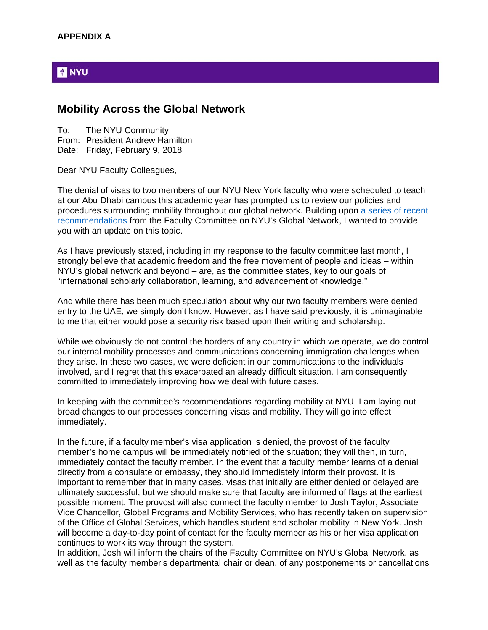### **PINYU**

### **Mobility Across the Global Network**

To: The NYU Community From: President Andrew Hamilton Date: Friday, February 9, 2018

Dear NYU Faculty Colleagues,

The denial of visas to two members of our NYU New York faculty who were scheduled to teach at our Abu Dhabi campus this academic year has prompted us to review our policies and procedures surrounding mobility throughout our global network. Building upon a series of recent recommendations from the Faculty Committee on NYU's Global Network, I wanted to provide you with an update on this topic.

As I have previously stated, including in my response to the faculty committee last month, I strongly believe that academic freedom and the free movement of people and ideas – within NYU's global network and beyond – are, as the committee states, key to our goals of "international scholarly collaboration, learning, and advancement of knowledge."

And while there has been much speculation about why our two faculty members were denied entry to the UAE, we simply don't know. However, as I have said previously, it is unimaginable to me that either would pose a security risk based upon their writing and scholarship.

While we obviously do not control the borders of any country in which we operate, we do control our internal mobility processes and communications concerning immigration challenges when they arise. In these two cases, we were deficient in our communications to the individuals involved, and I regret that this exacerbated an already difficult situation. I am consequently committed to immediately improving how we deal with future cases.

In keeping with the committee's recommendations regarding mobility at NYU, I am laying out broad changes to our processes concerning visas and mobility. They will go into effect immediately.

In the future, if a faculty member's visa application is denied, the provost of the faculty member's home campus will be immediately notified of the situation; they will then, in turn, immediately contact the faculty member. In the event that a faculty member learns of a denial directly from a consulate or embassy, they should immediately inform their provost. It is important to remember that in many cases, visas that initially are either denied or delayed are ultimately successful, but we should make sure that faculty are informed of flags at the earliest possible moment. The provost will also connect the faculty member to Josh Taylor, Associate Vice Chancellor, Global Programs and Mobility Services, who has recently taken on supervision of the Office of Global Services, which handles student and scholar mobility in New York. Josh will become a day-to-day point of contact for the faculty member as his or her visa application continues to work its way through the system.

In addition, Josh will inform the chairs of the Faculty Committee on NYU's Global Network, as well as the faculty member's departmental chair or dean, of any postponements or cancellations